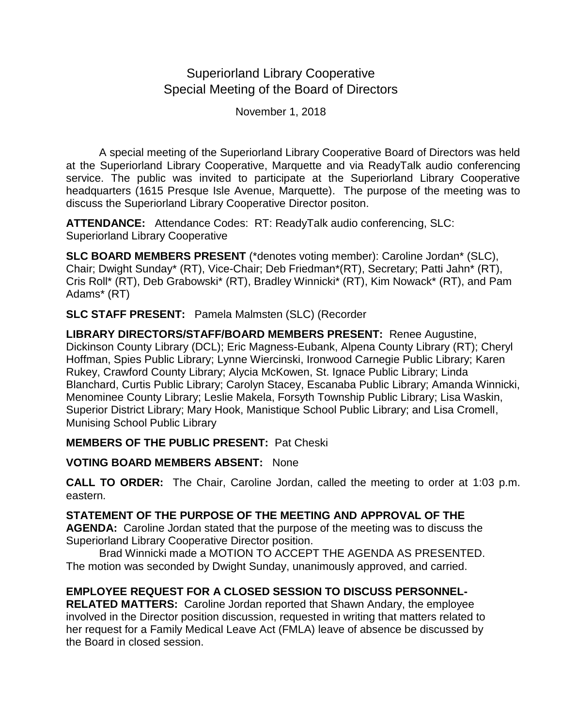# Superiorland Library Cooperative Special Meeting of the Board of Directors

November 1, 2018

A special meeting of the Superiorland Library Cooperative Board of Directors was held at the Superiorland Library Cooperative, Marquette and via ReadyTalk audio conferencing service. The public was invited to participate at the Superiorland Library Cooperative headquarters (1615 Presque Isle Avenue, Marquette). The purpose of the meeting was to discuss the Superiorland Library Cooperative Director positon.

**ATTENDANCE:** Attendance Codes: RT: ReadyTalk audio conferencing, SLC: Superiorland Library Cooperative

**SLC BOARD MEMBERS PRESENT** (\*denotes voting member): Caroline Jordan\* (SLC), Chair; Dwight Sunday\* (RT), Vice-Chair; Deb Friedman\*(RT), Secretary; Patti Jahn\* (RT), Cris Roll\* (RT), Deb Grabowski\* (RT), Bradley Winnicki\* (RT), Kim Nowack\* (RT), and Pam Adams\* (RT)

**SLC STAFF PRESENT:** Pamela Malmsten (SLC) (Recorder

**LIBRARY DIRECTORS/STAFF/BOARD MEMBERS PRESENT:** Renee Augustine, Dickinson County Library (DCL); Eric Magness-Eubank, Alpena County Library (RT); Cheryl Hoffman, Spies Public Library; Lynne Wiercinski, Ironwood Carnegie Public Library; Karen Rukey, Crawford County Library; Alycia McKowen, St. Ignace Public Library; Linda Blanchard, Curtis Public Library; Carolyn Stacey, Escanaba Public Library; Amanda Winnicki, Menominee County Library; Leslie Makela, Forsyth Township Public Library; Lisa Waskin, Superior District Library; Mary Hook, Manistique School Public Library; and Lisa Cromell, Munising School Public Library

**MEMBERS OF THE PUBLIC PRESENT:** Pat Cheski

**VOTING BOARD MEMBERS ABSENT:** None

**CALL TO ORDER:** The Chair, Caroline Jordan, called the meeting to order at 1:03 p.m. eastern.

### **STATEMENT OF THE PURPOSE OF THE MEETING AND APPROVAL OF THE**

**AGENDA:** Caroline Jordan stated that the purpose of the meeting was to discuss the Superiorland Library Cooperative Director position.

Brad Winnicki made a MOTION TO ACCEPT THE AGENDA AS PRESENTED. The motion was seconded by Dwight Sunday, unanimously approved, and carried.

## **EMPLOYEE REQUEST FOR A CLOSED SESSION TO DISCUSS PERSONNEL-**

**RELATED MATTERS:** Caroline Jordan reported that Shawn Andary, the employee involved in the Director position discussion, requested in writing that matters related to her request for a Family Medical Leave Act (FMLA) leave of absence be discussed by the Board in closed session.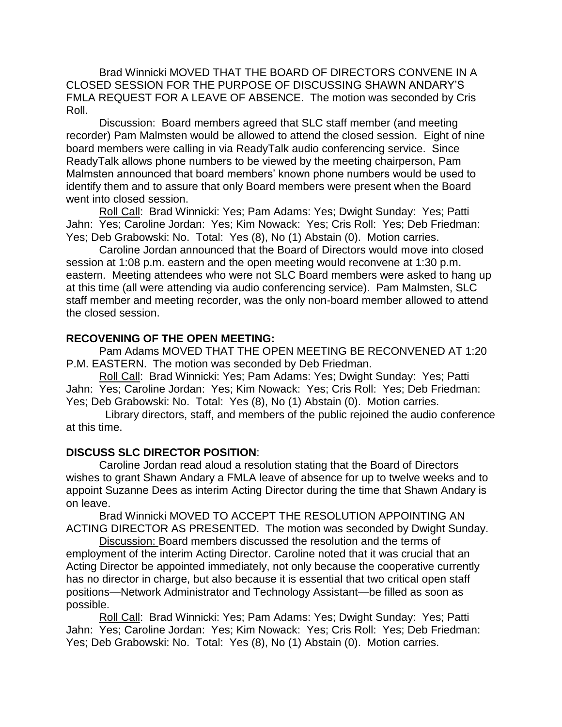Brad Winnicki MOVED THAT THE BOARD OF DIRECTORS CONVENE IN A CLOSED SESSION FOR THE PURPOSE OF DISCUSSING SHAWN ANDARY'S FMLA REQUEST FOR A LEAVE OF ABSENCE. The motion was seconded by Cris Roll.

Discussion: Board members agreed that SLC staff member (and meeting recorder) Pam Malmsten would be allowed to attend the closed session. Eight of nine board members were calling in via ReadyTalk audio conferencing service. Since ReadyTalk allows phone numbers to be viewed by the meeting chairperson, Pam Malmsten announced that board members' known phone numbers would be used to identify them and to assure that only Board members were present when the Board went into closed session.

Roll Call: Brad Winnicki: Yes; Pam Adams: Yes; Dwight Sunday: Yes; Patti Jahn: Yes; Caroline Jordan: Yes; Kim Nowack: Yes; Cris Roll: Yes; Deb Friedman: Yes; Deb Grabowski: No. Total: Yes (8), No (1) Abstain (0). Motion carries.

Caroline Jordan announced that the Board of Directors would move into closed session at 1:08 p.m. eastern and the open meeting would reconvene at 1:30 p.m. eastern. Meeting attendees who were not SLC Board members were asked to hang up at this time (all were attending via audio conferencing service). Pam Malmsten, SLC staff member and meeting recorder, was the only non-board member allowed to attend the closed session.

#### **RECOVENING OF THE OPEN MEETING:**

Pam Adams MOVED THAT THE OPEN MEETING BE RECONVENED AT 1:20 P.M. EASTERN. The motion was seconded by Deb Friedman.

Roll Call: Brad Winnicki: Yes; Pam Adams: Yes; Dwight Sunday: Yes; Patti Jahn: Yes; Caroline Jordan: Yes; Kim Nowack: Yes; Cris Roll: Yes; Deb Friedman: Yes; Deb Grabowski: No. Total: Yes (8), No (1) Abstain (0). Motion carries.

 Library directors, staff, and members of the public rejoined the audio conference at this time.

#### **DISCUSS SLC DIRECTOR POSITION**:

Caroline Jordan read aloud a resolution stating that the Board of Directors wishes to grant Shawn Andary a FMLA leave of absence for up to twelve weeks and to appoint Suzanne Dees as interim Acting Director during the time that Shawn Andary is on leave.

Brad Winnicki MOVED TO ACCEPT THE RESOLUTION APPOINTING AN ACTING DIRECTOR AS PRESENTED. The motion was seconded by Dwight Sunday.

Discussion: Board members discussed the resolution and the terms of employment of the interim Acting Director. Caroline noted that it was crucial that an Acting Director be appointed immediately, not only because the cooperative currently has no director in charge, but also because it is essential that two critical open staff positions—Network Administrator and Technology Assistant—be filled as soon as possible.

Roll Call: Brad Winnicki: Yes; Pam Adams: Yes; Dwight Sunday: Yes; Patti Jahn: Yes; Caroline Jordan: Yes; Kim Nowack: Yes; Cris Roll: Yes; Deb Friedman: Yes; Deb Grabowski: No. Total: Yes (8), No (1) Abstain (0). Motion carries.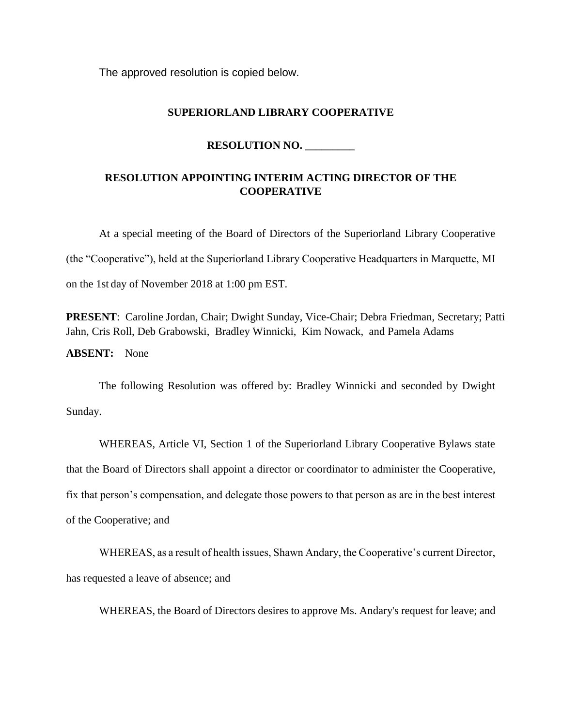The approved resolution is copied below.

#### **SUPERIORLAND LIBRARY COOPERATIVE**

#### **RESOLUTION NO. \_\_\_\_\_\_\_\_\_**

#### **RESOLUTION APPOINTING INTERIM ACTING DIRECTOR OF THE COOPERATIVE**

At a special meeting of the Board of Directors of the Superiorland Library Cooperative (the "Cooperative"), held at the Superiorland Library Cooperative Headquarters in Marquette, MI on the 1st day of November 2018 at 1:00 pm EST.

**PRESENT**: Caroline Jordan, Chair; Dwight Sunday, Vice-Chair; Debra Friedman, Secretary; Patti Jahn, Cris Roll, Deb Grabowski, Bradley Winnicki, Kim Nowack, and Pamela Adams

**ABSENT:** None

The following Resolution was offered by: Bradley Winnicki and seconded by Dwight Sunday.

WHEREAS, Article VI, Section 1 of the Superiorland Library Cooperative Bylaws state that the Board of Directors shall appoint a director or coordinator to administer the Cooperative, fix that person's compensation, and delegate those powers to that person as are in the best interest of the Cooperative; and

WHEREAS, as a result of health issues, Shawn Andary, the Cooperative's current Director, has requested a leave of absence; and

WHEREAS, the Board of Directors desires to approve Ms. Andary's request for leave; and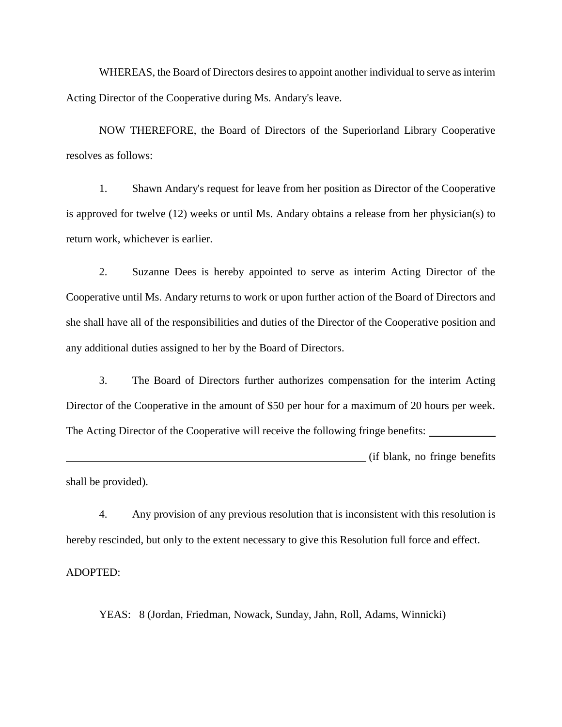WHEREAS, the Board of Directors desires to appoint another individual to serve as interim Acting Director of the Cooperative during Ms. Andary's leave.

NOW THEREFORE, the Board of Directors of the Superiorland Library Cooperative resolves as follows:

1. Shawn Andary's request for leave from her position as Director of the Cooperative is approved for twelve (12) weeks or until Ms. Andary obtains a release from her physician(s) to return work, whichever is earlier.

2. Suzanne Dees is hereby appointed to serve as interim Acting Director of the Cooperative until Ms. Andary returns to work or upon further action of the Board of Directors and she shall have all of the responsibilities and duties of the Director of the Cooperative position and any additional duties assigned to her by the Board of Directors.

3. The Board of Directors further authorizes compensation for the interim Acting Director of the Cooperative in the amount of \$50 per hour for a maximum of 20 hours per week. The Acting Director of the Cooperative will receive the following fringe benefits:

(if blank, no fringe benefits shall be provided).

4. Any provision of any previous resolution that is inconsistent with this resolution is hereby rescinded, but only to the extent necessary to give this Resolution full force and effect.

ADOPTED:

YEAS: 8 (Jordan, Friedman, Nowack, Sunday, Jahn, Roll, Adams, Winnicki)